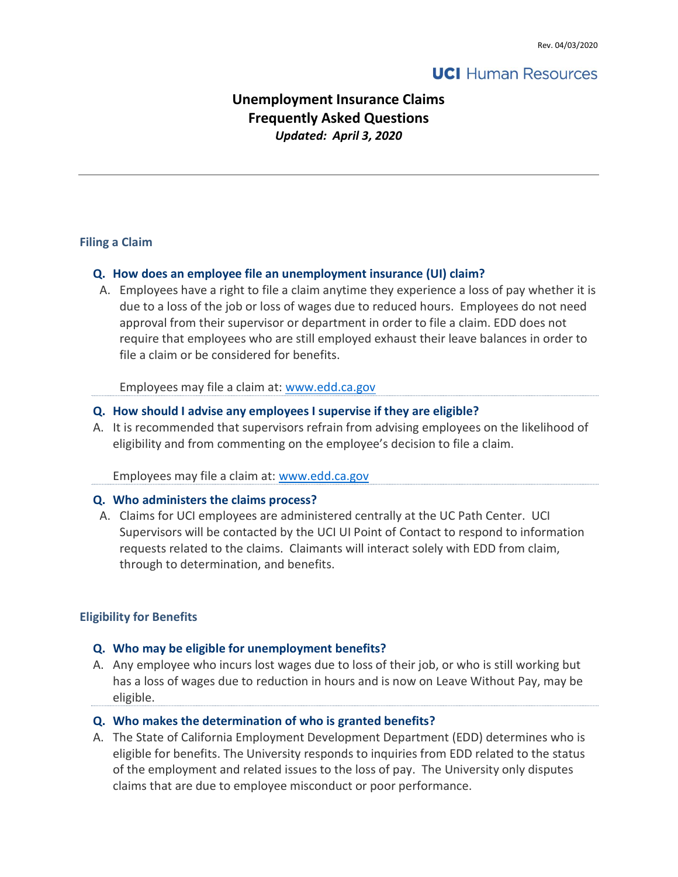# **UCI** Human Resources

# Unemployment Insurance Claims Frequently Asked Questions Updated: April 3, 2020

#### Filing a Claim

### Q. How does an employee file an unemployment insurance (UI) claim?

A. Employees have a right to file a claim anytime they experience a loss of pay whether it is due to a loss of the job or loss of wages due to reduced hours. Employees do not need approval from their supervisor or department in order to file a claim. EDD does not require that employees who are still employed exhaust their leave balances in order to file a claim or be considered for benefits.

Employees may file a claim at: www.edd.ca.gov

#### Q. How should I advise any employees I supervise if they are eligible?

A. It is recommended that supervisors refrain from advising employees on the likelihood of eligibility and from commenting on the employee's decision to file a claim.

Employees may file a claim at: www.edd.ca.gov

#### Q. Who administers the claims process?

A. Claims for UCI employees are administered centrally at the UC Path Center. UCI Supervisors will be contacted by the UCI UI Point of Contact to respond to information requests related to the claims. Claimants will interact solely with EDD from claim, through to determination, and benefits.

### Eligibility for Benefits

#### Q. Who may be eligible for unemployment benefits?

A. Any employee who incurs lost wages due to loss of their job, or who is still working but has a loss of wages due to reduction in hours and is now on Leave Without Pay, may be eligible.

#### Q. Who makes the determination of who is granted benefits?

A. The State of California Employment Development Department (EDD) determines who is eligible for benefits. The University responds to inquiries from EDD related to the status of the employment and related issues to the loss of pay. The University only disputes claims that are due to employee misconduct or poor performance.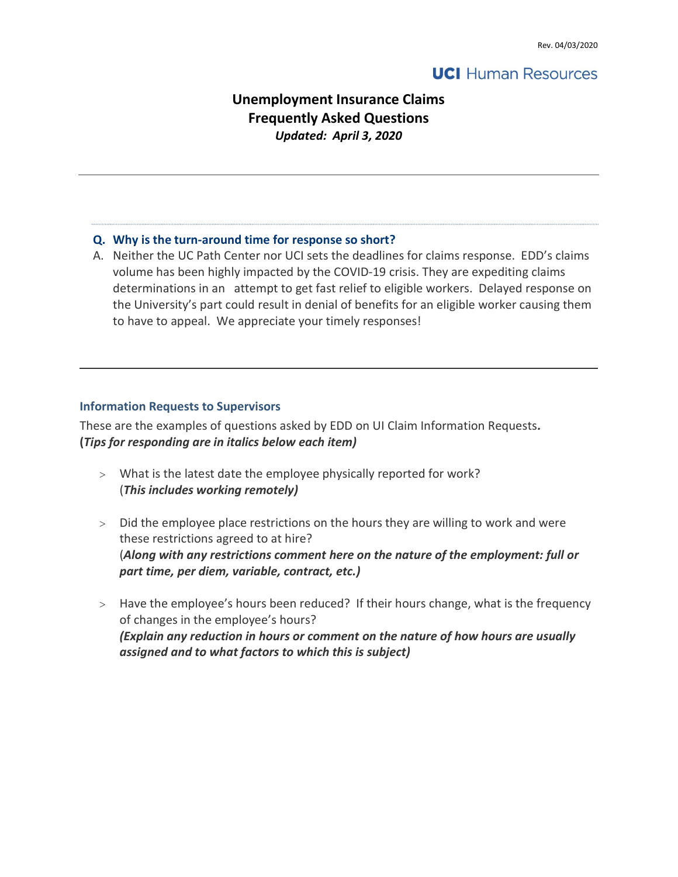# **UCI** Human Resources

# Unemployment Insurance Claims Frequently Asked Questions Updated: April 3, 2020

#### Q. Why is the turn-around time for response so short?

A. Neither the UC Path Center nor UCI sets the deadlines for claims response. EDD's claims volume has been highly impacted by the COVID-19 crisis. They are expediting claims determinations in an attempt to get fast relief to eligible workers. Delayed response on the University's part could result in denial of benefits for an eligible worker causing them to have to appeal. We appreciate your timely responses!

#### Information Requests to Supervisors

These are the examples of questions asked by EDD on UI Claim Information Requests. (Tips for responding are in italics below each item)

- What is the latest date the employee physically reported for work? (This includes working remotely)
- Did the employee place restrictions on the hours they are willing to work and were these restrictions agreed to at hire? (Along with any restrictions comment here on the nature of the employment: full or part time, per diem, variable, contract, etc.)
- > Have the employee's hours been reduced? If their hours change, what is the frequency of changes in the employee's hours? (Explain any reduction in hours or comment on the nature of how hours are usually assigned and to what factors to which this is subject)